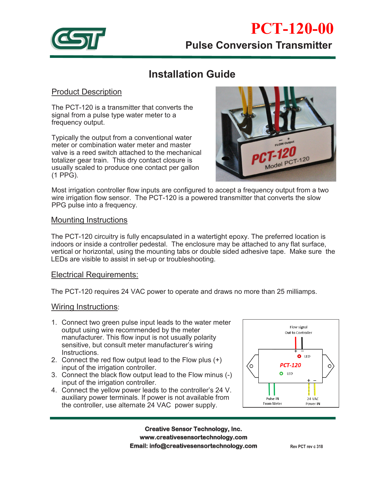

# **Installation Guide**

## Product Description

The PCT-120 is a transmitter that converts the signal from a pulse type water meter to a frequency output.

Typically the output from a conventional water meter or combination water meter and master valve is a reed switch attached to the mechanical totalizer gear train. This dry contact closure is usually scaled to produce one contact per gallon (1 PPG).



Most irrigation controller flow inputs are configured to accept a frequency output from a two wire irrigation flow sensor. The PCT-120 is a powered transmitter that converts the slow PPG pulse into a frequency.

#### Mounting Instructions

The PCT-120 circuitry is fully encapsulated in a watertight epoxy. The preferred location is indoors or inside a controller pedestal. The enclosure may be attached to any flat surface, vertical or horizontal, using the mounting tabs or double sided adhesive tape. Make sure the LEDs are visible to assist in set-up or troubleshooting.

### Electrical Requirements:

The PCT-120 requires 24 VAC power to operate and draws no more than 25 milliamps.

#### Wiring Instructions:

- 1. Connect two green pulse input leads to the water meter output using wire recommended by the meter manufacturer. This flow input is not usually polarity sensitive, but consult meter manufacturer's wiring Instructions.
- 2. Connect the red flow output lead to the Flow plus (+) input of the irrigation controller.
- 3. Connect the black flow output lead to the Flow minus (-) input of the irrigation controller.
- 4. Connect the yellow power leads to the controller's 24 V. auxiliary power terminals. If power is not available from the controller, use alternate 24 VAC power supply.



**Creative Sensor Technology, Inc. Creative Sensor Technology, Inc. www.creativesensortechnology.com PO Box 426, Rochester, MA 02770 Ph: 508-763-8100 www.creativesensortechnology.com Email: info@creativesensortechnology.com**